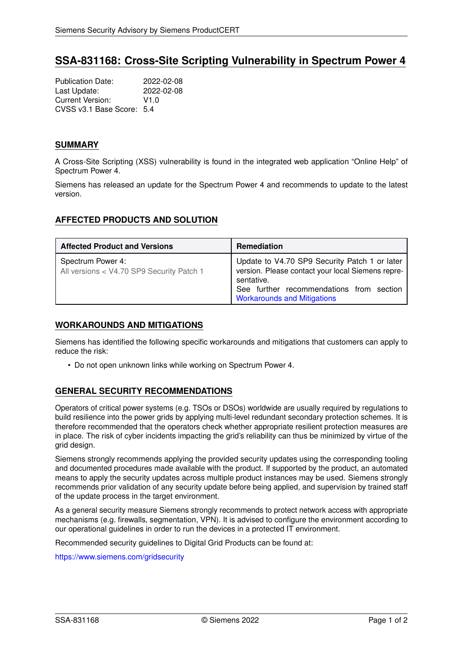# **SSA-831168: Cross-Site Scripting Vulnerability in Spectrum Power 4**

Publication Date: 2022-02-08<br>Last Update: 2022-02-08 Last Update: Current Version: V1.0 CVSS v3.1 Base Score: 5.4

## **SUMMARY**

A Cross-Site Scripting (XSS) vulnerability is found in the integrated web application "Online Help" of Spectrum Power 4.

Siemens has released an update for the Spectrum Power 4 and recommends to update to the latest version.

## **AFFECTED PRODUCTS AND SOLUTION**

| <b>Affected Product and Versions</b>                           | <b>Remediation</b>                                                                                                                                                                                 |
|----------------------------------------------------------------|----------------------------------------------------------------------------------------------------------------------------------------------------------------------------------------------------|
| Spectrum Power 4:<br>All versions < V4.70 SP9 Security Patch 1 | Update to V4.70 SP9 Security Patch 1 or later<br>version. Please contact your local Siemens repre-<br>sentative.<br>See further recommendations from section<br><b>Workarounds and Mitigations</b> |

#### <span id="page-0-0"></span>**WORKAROUNDS AND MITIGATIONS**

Siemens has identified the following specific workarounds and mitigations that customers can apply to reduce the risk:

• Do not open unknown links while working on Spectrum Power 4.

# **GENERAL SECURITY RECOMMENDATIONS**

Operators of critical power systems (e.g. TSOs or DSOs) worldwide are usually required by regulations to build resilience into the power grids by applying multi-level redundant secondary protection schemes. It is therefore recommended that the operators check whether appropriate resilient protection measures are in place. The risk of cyber incidents impacting the grid's reliability can thus be minimized by virtue of the grid design.

Siemens strongly recommends applying the provided security updates using the corresponding tooling and documented procedures made available with the product. If supported by the product, an automated means to apply the security updates across multiple product instances may be used. Siemens strongly recommends prior validation of any security update before being applied, and supervision by trained staff of the update process in the target environment.

As a general security measure Siemens strongly recommends to protect network access with appropriate mechanisms (e.g. firewalls, segmentation, VPN). It is advised to configure the environment according to our operational guidelines in order to run the devices in a protected IT environment.

Recommended security guidelines to Digital Grid Products can be found at:

<https://www.siemens.com/gridsecurity>